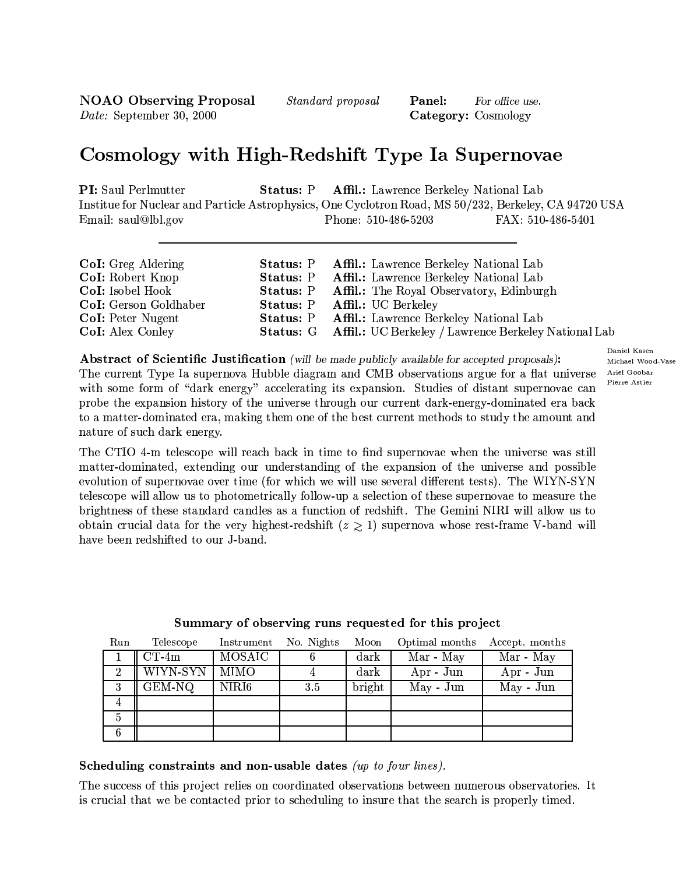**NOAO** Observing Proposal Date: September 30, 2000

*Standard proposal* 

Panel: For office use. Category: Cosmology

# Cosmology with High-Redshift Type Ia Supernovae

**PI:** Saul Perlmutter Status: P Affil.: Lawrence Berkeley National Lab Institue for Nuclear and Particle Astrophysics, One Cyclotron Road, MS 50/232, Berkeley, CA 94720 USA Email: saul@lbl.gov Phone: 510-486-5203 FAX: 510-486-5401

| <b>CoI:</b> Greg Aldering | <b>Status: P</b> Affil.: Lawrence Berkeley National Lab               |
|---------------------------|-----------------------------------------------------------------------|
| CoI: Robert Knop          | <b>Status: P</b> Affil.: Lawrence Berkeley National Lab               |
| CoI: Isobel Hook          | <b>Status: P</b> Affil.: The Royal Observatory, Edinburgh             |
| CoI: Gerson Goldhaber     | <b>Status: P Affil.: UC Berkeley</b>                                  |
| <b>CoI:</b> Peter Nugent  | <b>Status: P</b> Affil.: Lawrence Berkeley National Lab               |
| CoI: Alex Conley          | <b>Status: G</b> Affil.: UC Berkeley / Lawrence Berkeley National Lab |

Abstract of Scientific Justification (will be made publicly available for accepted proposals): The current Type Ia supernova Hubble diagram and CMB observations argue for a flat universe with some form of "dark energy" accelerating its expansion. Studies of distant supernovae can probe the expansion history of the universe through our current dark-energy-dominated era back to a matter-dominated era, making them one of the best current methods to study the amount and nature of such dark energy.

The CTIO 4-m telescope will reach back in time to find supernovae when the universe was still matter-dominated, extending our understanding of the expansion of the universe and possible evolution of supernovae over time (for which we will use several different tests). The WIYN-SYN telescope will allow us to photometrically follow-up a selection of these supernovae to measure the brightness of these standard candles as a function of redshift. The Gemini NIRI will allow us to obtain crucial data for the very highest-redshift  $(z \ge 1)$  supernova whose rest-frame V-band will have been redshifted to our J-band.

| Run            | Telescope | Instrument    | No. Nights | Moon            | Optimal months | Accept. months |
|----------------|-----------|---------------|------------|-----------------|----------------|----------------|
|                | $CT-4m$   | <b>MOSAIC</b> |            | $\mathrm{dark}$ | Mar - May      | Mar - May      |
| $\overline{2}$ | WIYN-SYN  | MIMO          |            | $\mathrm{dark}$ | $Apr - Jun$    | $Apr - Jun$    |
| 3              | $GEM-NO$  | NIRI6         | 3.5        | bright          | $May - Jun$    | May - Jun      |
| 4              |           |               |            |                 |                |                |
| $\overline{5}$ |           |               |            |                 |                |                |
| 6              |           |               |            |                 |                |                |

### Summary of observing runs requested for this project

Scheduling constraints and non-usable dates (up to four lines).

The success of this project relies on coordinated observations between numerous observatories. It is crucial that we be contacted prior to scheduling to insure that the search is properly timed.

Daniel Kasen Michael Wood-Vase Ariel Goobar Pierre Astier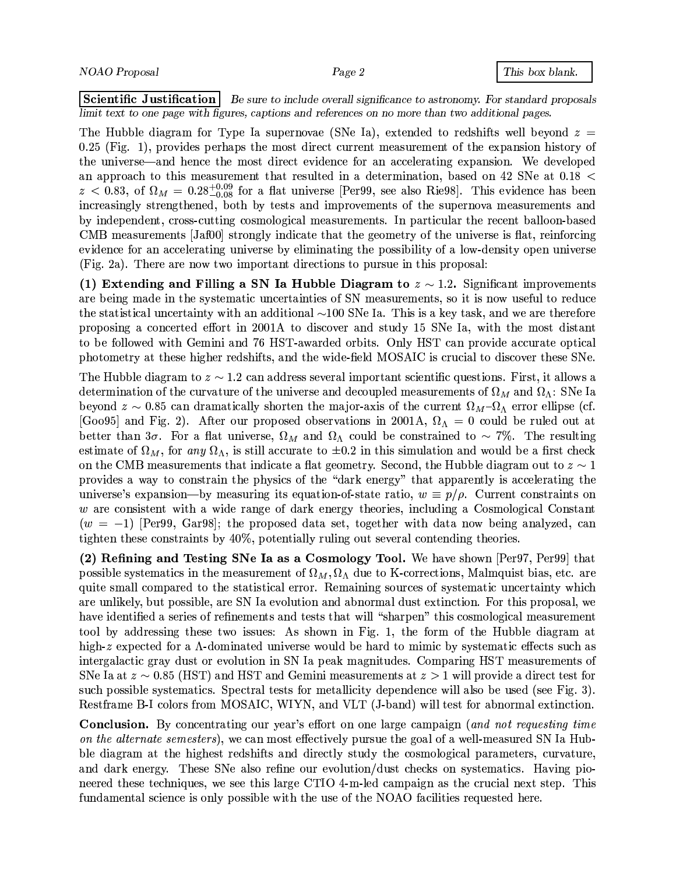|Scientific Justification| Be sure to include overall significance to astronomy. For standard proposals limit text to one page with figures, captions and references on no more than two additional pages.

The Hubble diagram for Type Ia supernovae (SNe Ia), extended to redshifts well beyond  $z =$  $0.25$  (Fig. 1), provides perhaps the most direct current measurement of the expansion history of the universe—and hence the most direct evidence for an accelerating expansion. We developed an approach to this measurement that resulted in a determination, based on 42 SNe at  $0.18 <$  $z < 0.83$ , of  $\Omega_M = 0.28^{+0.09}_{-0.08}$  for a flat universe [Per99, see also Rie98]. This evidence has been increasingly strengthened, both by tests and improvements of the supernova measurements and by independent, cross-cutting cosmological measurements. In particular the recent balloon-based CMB measurements [Jaf00] strongly indicate that the geometry of the universe is flat, reinforcing evidence for an accelerating universe by eliminating the possibility of a low-density open universe (Fig. 2a). There are now two important directions to pursue in this proposal:

(1) Extending and Filling a SN Ia Hubble Diagram to  $z \sim 1.2$ . Significant improvements are being made in the systematic uncertainties of SN measurements, so it is now useful to reduce the statistical uncertainty with an additional  $\sim$ 100 SNe Ia. This is a key task, and we are therefore proposing a concerted effort in 2001A to discover and study 15 SNe Ia, with the most distant to be followed with Gemini and 76 HST-awarded orbits. Only HST can provide accurate optical photometry at these higher redshifts, and the wide-field MOSAIC is crucial to discover these SNe.

The Hubble diagram to  $z \sim 1.2$  can address several important scientific questions. First, it allows a determination of the curvature of the universe and decoupled measurements of  $\Omega_M$  and  $\Omega_{\Lambda}$ : SNe Ia beyond  $z \sim 0.85$  can dramatically shorten the major-axis of the current  $\Omega_M - \Omega_{\Lambda}$  error ellipse (cf. [Goo95] and Fig. 2). After our proposed observations in 2001A,  $\Omega_{\Lambda} = 0$  could be ruled out at better than  $3\sigma$ . For a flat universe,  $\Omega_M$  and  $\Omega_{\Lambda}$  could be constrained to  $\sim$  7%. The resulting estimate of  $\Omega_M$ , for any  $\Omega_{\Lambda}$ , is still accurate to  $\pm 0.2$  in this simulation and would be a first check on the CMB measurements that indicate a flat geometry. Second, the Hubble diagram out to  $z \sim 1$ provides a way to constrain the physics of the "dark energy" that apparently is accelerating the universe's expansion—by measuring its equation-of-state ratio,  $w \equiv p/\rho$ . Current constraints on w are consistent with a wide range of dark energy theories, including a Cosmological Constant  $(w = -1)$  [Per99, Gar98]; the proposed data set, together with data now being analyzed, can tighten these constraints by 40%, potentially ruling out several contending theories.

(2) Refining and Testing SNe Ia as a Cosmology Tool. We have shown [Per97, Per99] that possible systematics in the measurement of  $\Omega_M$ ,  $\Omega_{\Lambda}$  due to K-corrections, Malmquist bias, etc. are quite small compared to the statistical error. Remaining sources of systematic uncertainty which are unlikely, but possible, are SN Ia evolution and abnormal dust extinction. For this proposal, we have identified a series of refinements and tests that will "sharpen" this cosmological measurement tool by addressing these two issues: As shown in Fig. 1, the form of the Hubble diagram at high-z expected for a  $\Lambda$ -dominated universe would be hard to mimic by systematic effects such as intergalactic gray dust or evolution in SN Ia peak magnitudes. Comparing HST measurements of SNe Ia at  $z \sim 0.85$  (HST) and HST and Gemini measurements at  $z > 1$  will provide a direct test for such possible systematics. Spectral tests for metallicity dependence will also be used (see Fig. 3). Restframe B-I colors from MOSAIC, WIYN, and VLT (J-band) will test for abnormal extinction.

**Conclusion.** By concentrating our year's effort on one large campaign (and not requesting time on the alternate semesters), we can most effectively pursue the goal of a well-measured SN Ia Hubble diagram at the highest redshifts and directly study the cosmological parameters, curvature. and dark energy. These SNe also refine our evolution/dust checks on systematics. Having pioneered these techniques, we see this large CTIO 4-m-led campaign as the crucial next step. This fundamental science is only possible with the use of the NOAO facilities requested here.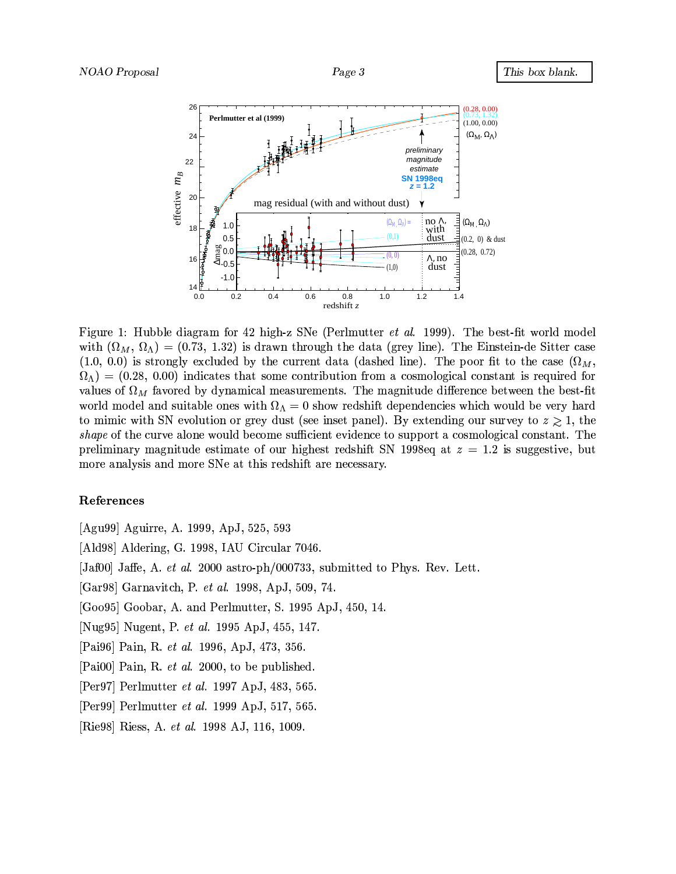

Figure 1: Hubble diagram for 42 high-z SNe (Perlmutter *et al.* 1999). The best-fit world model with  $(\Omega_M, \Omega_{\Lambda}) = (0.73, 1.32)$  is drawn through the data (grey line). The Einstein-de Sitter case  $(1.0, 0.0)$  is strongly excluded by the current data (dashed line). The poor fit to the case  $(\Omega_M,$  $\Omega_{\Lambda}$  = (0.28, 0.00) indicates that some contribution from a cosmological constant is required for values of  $\Omega_M$  favored by dynamical measurements. The magnitude difference between the best-fit world model and suitable ones with  $\Omega_{\Lambda}=0$  show redshift dependencies which would be very hard to mimic with SN evolution or grey dust (see inset panel). By extending our survey to  $z \geq 1$ , the *shape* of the curve alone would become sufficient evidence to support a cosmological constant. The preliminary magnitude estimate of our highest redshift SN 1998eq at  $z = 1.2$  is suggestive, but more analysis and more SNe at this redshift are necessary.

#### References

[Agu99] Aguirre, A. 1999, ApJ, 525, 593

[Ald98] Aldering, G. 1998, IAU Circular 7046.

[Jaf00] Jaffe, A. *et al.* 2000 astro-ph/000733, submitted to Phys. Rev. Lett.

[Gar98] Garnavitch, P. et al. 1998, ApJ, 509, 74.

[Goo95] Goobar, A. and Perlmutter, S. 1995 ApJ, 450, 14.

[Nug95] Nugent, P. et al. 1995 ApJ, 455, 147.

[Pai96] Pain, R. et al. 1996, ApJ, 473, 356.

[Pai00] Pain, R. et al. 2000, to be published.

[Per97] Perlmutter *et al.* 1997 ApJ, 483, 565.

[Per99] Perlmutter *et al.* 1999 ApJ, 517, 565.

[Rie98] Riess, A. et al. 1998 AJ, 116, 1009.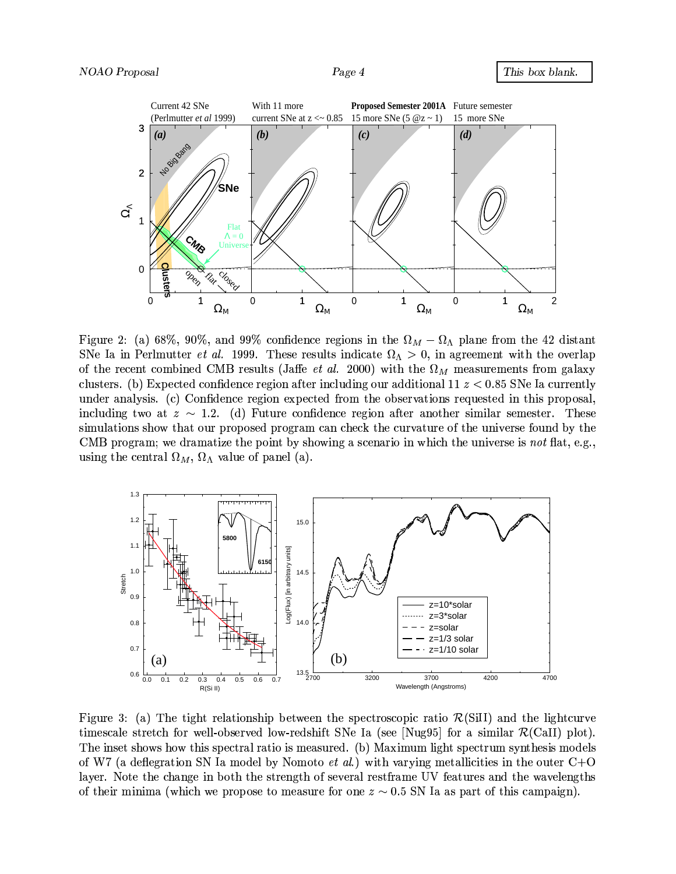

Figure 2: (a) 68%, 90%, and 99% confidence regions in the  $\Omega_M - \Omega_{\Lambda}$  plane from the 42 distant SNe Ia in Perlmutter *et al.* 1999. These results indicate  $\Omega_{\Lambda} > 0$ , in agreement with the overlap of the recent combined CMB results (Jaffe *et al.* 2000) with the  $\Omega_M$  measurements from galaxy clusters. (b) Expected confidence region after including our additional 11  $z < 0.85$  SNe Ia currently under analysis. (c) Confidence region expected from the observations requested in this proposal, including two at  $z \sim 1.2$ . (d) Future confidence region after another similar semester. These simulations show that our proposed program can check the curvature of the universe found by the CMB program; we dramatize the point by showing a scenario in which the universe is not flat, e.g., using the central  $\Omega_M$ ,  $\Omega_{\Lambda}$  value of panel (a).



Figure 3: (a) The tight relationship between the spectroscopic ratio  $\mathcal{R}(SiII)$  and the lightcurve timescale stretch for well-observed low-redshift SNe Ia (see [Nug95] for a similar  $\mathcal{R}(Call)$  plot). The inset shows how this spectral ratio is measured. (b) Maximum light spectrum synthesis models of W7 (a deflegration SN Ia model by Nomoto *et al.*) with varying metallicities in the outer  $C+O$ layer. Note the change in both the strength of several restframe UV features and the wavelengths of their minima (which we propose to measure for one  $z \sim 0.5$  SN Ia as part of this campaign).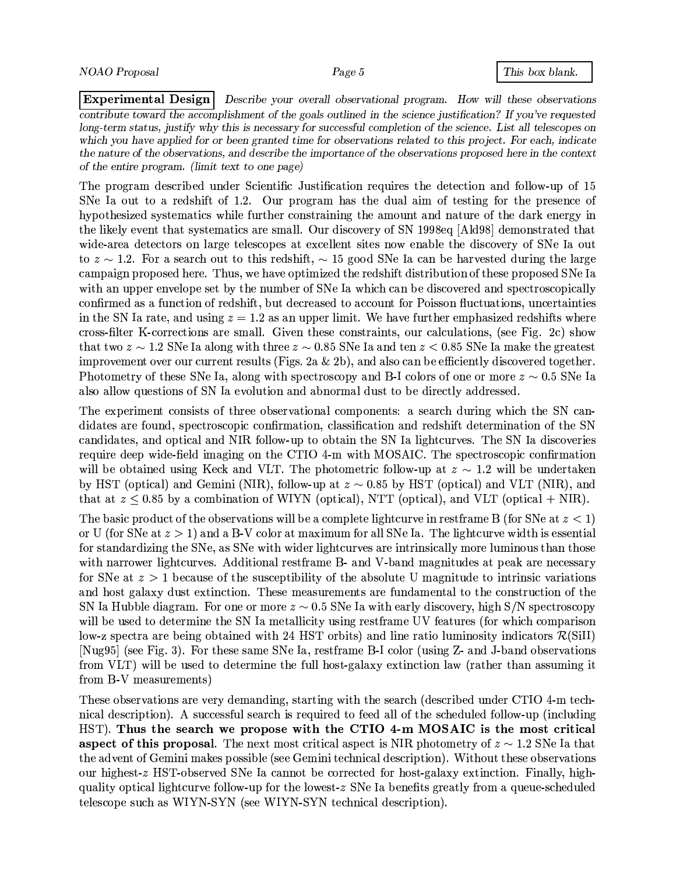**Experimental Design** Describe your overall observational program. How will these observations contribute toward the accomplishment of the goals outlined in the science justification? If you've requested long-term status, justify why this is necessary for successful completion of the science. List all telescopes on which you have applied for or been granted time for observations related to this project. For each, indicate the nature of the observations, and describe the importance of the observations proposed here in the context of the entire program. (limit text to one page)

The program described under Scientific Justification requires the detection and follow-up of 15 SNe Ia out to a redshift of 1.2. Our program has the dual aim of testing for the presence of hypothesized systematics while further constraining the amount and nature of the dark energy in the likely event that systematics are small. Our discovery of SN 1998eq [Ald98] demonstrated that wide-area detectors on large telescopes at excellent sites now enable the discovery of SNe Ia out to  $z \sim 1.2$ . For a search out to this redshift,  $\sim 15$  good SNe Ia can be harvested during the large campaign proposed here. Thus, we have optimized the redshift distribution of these proposed SNe Ia with an upper envelope set by the number of SNe Ia which can be discovered and spectroscopically confirmed as a function of redshift, but decreased to account for Poisson fluctuations, uncertainties in the SN Ia rate, and using  $z = 1.2$  as an upper limit. We have further emphasized redshifts where cross-filter K-corrections are small. Given these constraints, our calculations, (see Fig. 2c) show that two  $z \sim 1.2$  SNe Ia along with three  $z \sim 0.85$  SNe Ia and ten  $z < 0.85$  SNe Ia make the greatest improvement over our current results (Figs. 2a  $\&$  2b), and also can be efficiently discovered together. Photometry of these SNe Ia, along with spectroscopy and B-I colors of one or more  $z \sim 0.5$  SNe Ia also allow questions of SN Ia evolution and abnormal dust to be directly addressed.

The experiment consists of three observational components: a search during which the SN candidates are found, spectroscopic confirmation, classification and redshift determination of the SN candidates, and optical and NIR follow-up to obtain the SN Ia lightcurves. The SN Ia discoveries require deep wide-field imaging on the CTIO 4-m with MOSAIC. The spectroscopic confirmation will be obtained using Keck and VLT. The photometric follow-up at  $z \sim 1.2$  will be undertaken by HST (optical) and Gemini (NIR), follow-up at  $z \sim 0.85$  by HST (optical) and VLT (NIR), and that at  $z \leq 0.85$  by a combination of WIYN (optical), NTT (optical), and VLT (optical + NIR).

The basic product of the observations will be a complete lightcurve in restframe B (for SNe at  $z < 1$ ) or U (for SNe at  $z > 1$ ) and a B-V color at maximum for all SNe Ia. The lightcurve width is essential for standardizing the SNe, as SNe with wider lightcurves are intrinsically more luminous than those with narrower lightcurves. Additional restframe B- and V-band magnitudes at peak are necessary for SNe at  $z > 1$  because of the susceptibility of the absolute U magnitude to intrinsic variations and host galaxy dust extinction. These measurements are fundamental to the construction of the SN Ia Hubble diagram. For one or more  $z \sim 0.5$  SNe Ia with early discovery, high S/N spectroscopy will be used to determine the SN Ia metallicity using restframe UV features (for which comparison low-z spectra are being obtained with 24 HST orbits) and line ratio luminosity indicators  $\mathcal{R}(\text{SiII})$ [Nug95] (see Fig. 3). For these same SNe Ia, restframe B-I color (using Z- and J-band observations from VLT) will be used to determine the full host-galaxy extinction law (rather than assuming it from B-V measurements)

These observations are very demanding, starting with the search (described under CTIO 4-m technical description). A successful search is required to feed all of the scheduled follow-up (including HST). Thus the search we propose with the CTIO 4-m MOSAIC is the most critical aspect of this proposal. The next most critical aspect is NIR photometry of  $z \sim 1.2$  SNe Ia that the advent of Gemini makes possible (see Gemini technical description). Without these observations our highest-z HST-observed SNe Ia cannot be corrected for host-galaxy extinction. Finally, highquality optical lightcurve follow-up for the lowest- $z$  SNe Ia benefits greatly from a queue-scheduled telescope such as WIYN-SYN (see WIYN-SYN technical description).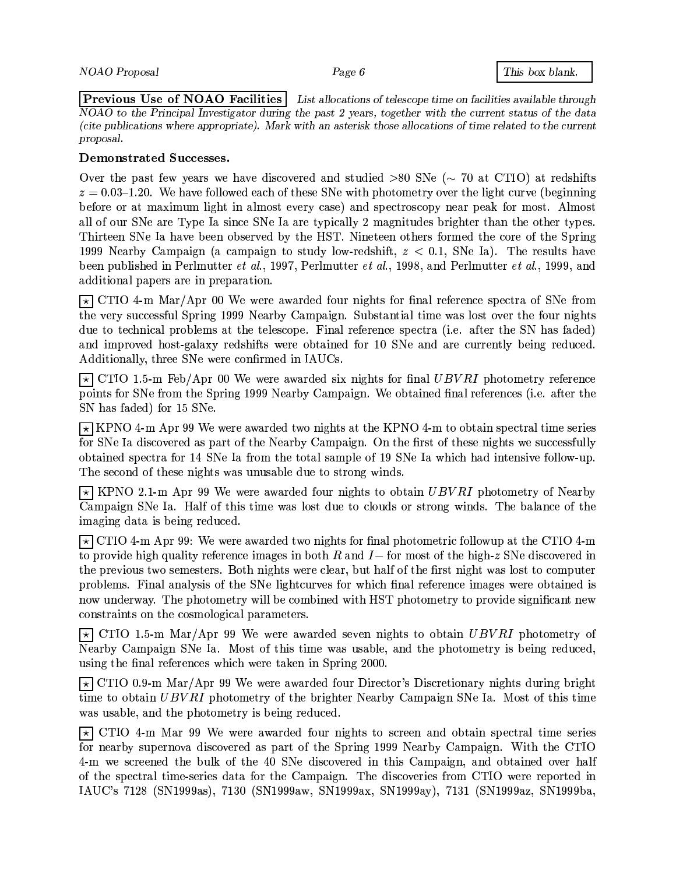$|\hspace{0.1cm}\textsf{Previous}\hspace{0.1cm}|\hspace{0.1cm} \textsf{Use of NOAO Facilities}|$ List allocations of telescope time on facilities available through NOAO to the Principal Investigator during the past 2 years, together with the current status of the data (cite publications where appropriate). Mark with an asterisk those allocations of time related to the current proposal.

### Demonstrated Successes.

Over the past few years we have discovered and studied  $>80$  SNe ( $\sim$  70 at CTIO) at redshifts  $z = 0.03$ -1.20. We have followed each of these SNe with photometry over the light curve (beginning before or at maximum light in almost every case) and spectroscopy near peak for most. Almost all of our SNe are Type Ia since SNe Ia are typically 2 magnitudes brighter than the other types. Thirteen SNe Ia have been observed by the HST. Nineteen others formed the core of the Spring 1999 Nearby Campaign (a campaign to study low-redshift,  $z < 0.1$ , SNe Ia). The results have been published in Perlmutter et al., 1997, Perlmutter et al., 1998, and Perlmutter et al., 1999, and additional papers are in preparation.

 $\overline{\star}$  CTIO 4-m Mar/Apr 00 We were awarded four nights for final reference spectra of SNe from the very successful Spring 1999 Nearby Campaign. Substantial time was lost over the four nights due to technical problems at the telescope. Final reference spectra (i.e. after the SN has faded) and improved host-galaxy redshifts were obtained for 10 SNe and are currently being reduced. Additionally, three SNe were confirmed in IAUCs.

 $\overline{\star}$  CTIO 1.5-m Feb/Apr 00 We were awarded six nights for final UBVRI photometry reference points for SNe from the Spring 1999 Nearby Campaign. We obtained final references (i.e. after the SN has faded) for 15 SNe.

 $\overline{\star}$  KPNO 4-m Apr 99 We were awarded two nights at the KPNO 4-m to obtain spectral time series for SNe Ia discovered as part of the Nearby Campaign. On the first of these nights we successfully obtained spectra for 14 SNe Ia from the total sample of 19 SNe Ia which had intensive follow-up. The second of these nights was unusable due to strong winds.

 $\overline{\star}$  KPNO 2.1-m Apr 99 We were awarded four nights to obtain UBVRI photometry of Nearby Campaign SNe Ia. Half of this time was lost due to clouds or strong winds. The balance of the imaging data is being reduced.

 $\overline{\star}$  CTIO 4-m Apr 99: We were awarded two nights for final photometric followup at the CTIO 4-m to provide high quality reference images in both R and  $I-$  for most of the high-z SNe discovered in the previous two semesters. Both nights were clear, but half of the first night was lost to computer problems. Final analysis of the SNe lightcurves for which final reference images were obtained is now underway. The photometry will be combined with HST photometry to provide significant new constraints on the cosmological parameters.

 $\overline{\star}$  CTIO 1.5-m Mar/Apr 99 We were awarded seven nights to obtain UBVRI photometry of Nearby Campaign SNe Ia. Most of this time was usable, and the photometry is being reduced, using the final references which were taken in Spring 2000.

 $\overline{\star}$  CTIO 0.9-m Mar/Apr 99 We were awarded four Director's Discretionary nights during bright time to obtain UBVRI photometry of the brighter Nearby Campaign SNe Ia. Most of this time was usable, and the photometry is being reduced.

 $\overline{\star}$  CTIO 4-m Mar 99 We were awarded four nights to screen and obtain spectral time series for nearby supernova discovered as part of the Spring 1999 Nearby Campaign. With the CTIO 4-m we screened the bulk of the 40 SNe discovered in this Campaign, and obtained over half of the spectral time-series data for the Campaign. The discoveries from CTIO were reported in IAUC's 7128 (SN1999as), 7130 (SN1999aw, SN1999ax, SN1999ay), 7131 (SN1999az, SN1999ba,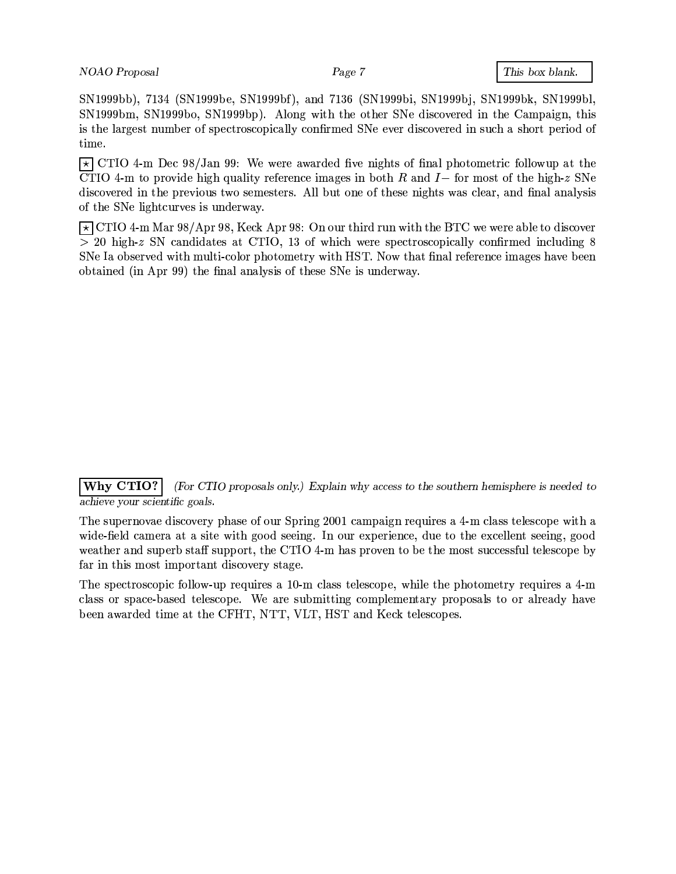SN1999bb), 7134 (SN1999be, SN1999bf), and 7136 (SN1999bi, SN1999bj, SN1999bk, SN1999bl, SN1999bm, SN1999bo, SN1999bp). Along with the other SNe discovered in the Campaign, this is the largest number of spectroscopically confirmed SNe ever discovered in such a short period of time.

 $\overline{\star}$  CTIO 4-m Dec 98/Jan 99: We were awarded five nights of final photometric followup at the CTIO 4-m to provide high quality reference images in both R and I- for most of the high-z SNe discovered in the previous two semesters. All but one of these nights was clear, and final analysis of the SNe lightcurves is underway.

 $\overline{\star}$  CTIO 4-m Mar 98/Apr 98, Keck Apr 98: On our third run with the BTC we were able to discover  $> 20$  high-z SN candidates at CTIO, 13 of which were spectroscopically confirmed including 8 SNe Ia observed with multi-color photometry with HST. Now that final reference images have been obtained (in Apr 99) the final analysis of these SNe is underway.

Why CTIO? (For CTIO proposals only.) Explain why access to the southern hemisphere is needed to achieve your scientific goals.

The supernovae discovery phase of our Spring 2001 campaign requires a 4-m class telescope with a wide-field camera at a site with good seeing. In our experience, due to the excellent seeing, good weather and superb staff support, the CTIO 4-m has proven to be the most successful telescope by far in this most important discovery stage.

The spectroscopic follow-up requires a 10-m class telescope, while the photometry requires a 4-m class or space-based telescope. We are submitting complementary proposals to or already have been awarded time at the CFHT, NTT, VLT, HST and Keck telescopes.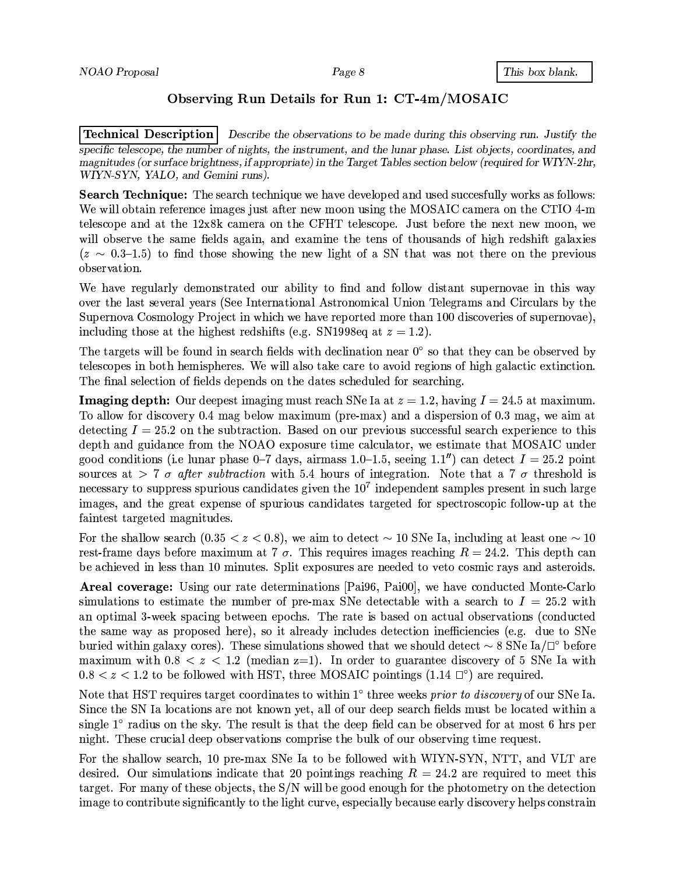### Observing Run Details for Run 1: CT-4m/MOSAIC

**Technical Description** Describe the observations to be made during this observing run. Justify the specific telescope, the number of nights, the instrument, and the lunar phase. List objects, coordinates, and magnitudes (or surface brightness, if appropriate) in the Target Tables section below (required for WIYN-2hr, WIYN-SYN, YALO, and Gemini runs).

**Search Technique:** The search technique we have developed and used succesfully works as follows: We will obtain reference images just after new moon using the MOSAIC camera on the CTIO 4-m telescope and at the 12x8k camera on the CFHT telescope. Just before the next new moon, we will observe the same fields again, and examine the tens of thousands of high redshift galaxies  $(z \sim 0.3{\text -}1.5)$  to find those showing the new light of a SN that was not there on the previous observation.

We have regularly demonstrated our ability to find and follow distant supernovae in this way over the last several years (See International Astronomical Union Telegrams and Circulars by the Supernova Cosmology Project in which we have reported more than 100 discoveries of supernovae). including those at the highest redshifts (e.g. SN1998eq at  $z = 1.2$ ).

The targets will be found in search fields with declination near  $0^{\circ}$  so that they can be observed by telescopes in both hemispheres. We will also take care to avoid regions of high galactic extinction. The final selection of fields depends on the dates scheduled for searching.

**Imaging depth:** Our deepest imaging must reach SNe Ia at  $z = 1.2$ , having  $I = 24.5$  at maximum. To allow for discovery 0.4 mag below maximum (pre-max) and a dispersion of 0.3 mag, we aim at detecting  $I = 25.2$  on the subtraction. Based on our previous successful search experience to this depth and guidance from the NOAO exposure time calculator, we estimate that MOSAIC under good conditions (i.e lunar phase 0–7 days, airmass 1.0–1.5, seeing 1.1") can detect  $I = 25.2$  point sources at > 7  $\sigma$  after subtraction with 5.4 hours of integration. Note that a 7  $\sigma$  threshold is necessary to suppress spurious candidates given the  $10<sup>7</sup>$  independent samples present in such large images, and the great expense of spurious candidates targeted for spectroscopic follow-up at the faintest targeted magnitudes.

For the shallow search  $(0.35 < z < 0.8)$ , we aim to detect  $\sim 10$  SNe Ia, including at least one  $\sim 10$ rest-frame days before maximum at 7  $\sigma$ . This requires images reaching  $R = 24.2$ . This depth can be achieved in less than 10 minutes. Split exposures are needed to veto cosmic rays and asteroids.

**Areal coverage:** Using our rate determinations [Pai96, Pai00], we have conducted Monte-Carlo simulations to estimate the number of pre-max SNe detectable with a search to  $I = 25.2$  with an optimal 3-week spacing between epochs. The rate is based on actual observations (conducted the same way as proposed here), so it already includes detection inefficiencies (e.g. due to SNe buried within galaxy cores). These simulations showed that we should detect  $\sim$  8 SNe Ia/ $\square$  before maximum with  $0.8 < z < 1.2$  (median z=1). In order to guarantee discovery of 5 SNe Ia with  $0.8 < z < 1.2$  to be followed with HST, three MOSAIC pointings (1.14  $\Box^{\circ}$ ) are required.

Note that HST requires target coordinates to within 1° three weeks *prior to discovery* of our SNe Ia. Since the SN Ia locations are not known yet, all of our deep search fields must be located within a single 1° radius on the sky. The result is that the deep field can be observed for at most 6 hrs per night. These crucial deep observations comprise the bulk of our observing time request.

For the shallow search, 10 pre-max SNe Ia to be followed with WIYN-SYN, NTT, and VLT are desired. Our simulations indicate that 20 pointings reaching  $R = 24.2$  are required to meet this target. For many of these objects, the  $S/N$  will be good enough for the photometry on the detection image to contribute significantly to the light curve, especially because early discovery helps constrain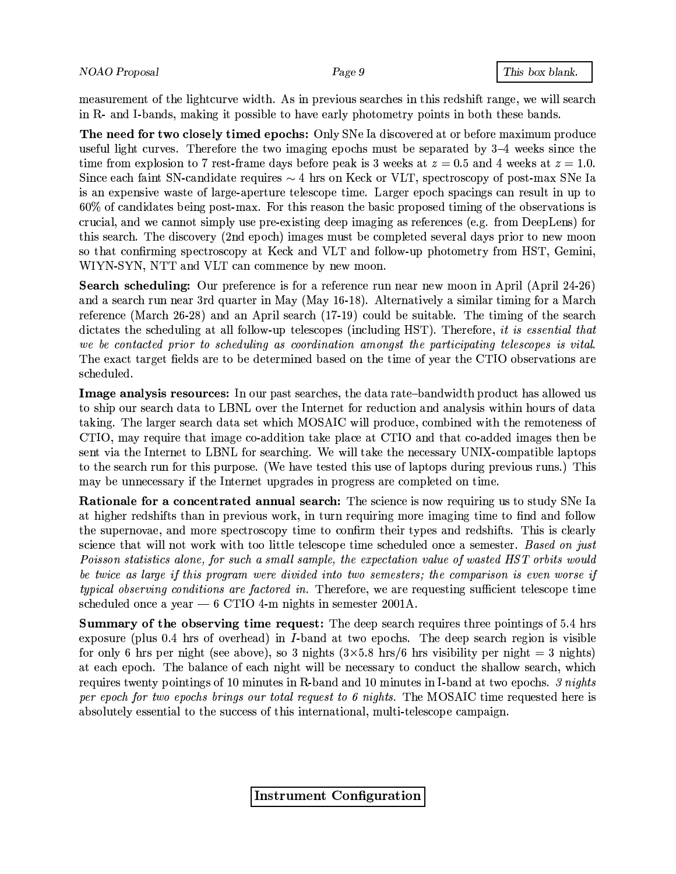This box blank.

measurement of the lightcurve width. As in previous searches in this redshift range, we will search in R- and I-bands, making it possible to have early photometry points in both these bands.

The need for two closely timed epochs: Only SNe Ia discovered at or before maximum produce useful light curves. Therefore the two imaging epochs must be separated by  $3-4$  weeks since the time from explosion to 7 rest-frame days before peak is 3 weeks at  $z = 0.5$  and 4 weeks at  $z = 1.0$ . Since each faint SN-candidate requires  $\sim$  4 hrs on Keck or VLT, spectroscopy of post-max SNe Ia is an expensive waste of large-aperture telescope time. Larger epoch spacings can result in up to  $60\%$  of candidates being post-max. For this reason the basic proposed timing of the observations is crucial, and we cannot simply use pre-existing deep imaging as references (e.g. from DeepLens) for this search. The discovery (2nd epoch) images must be completed several days prior to new moon so that confirming spectroscopy at Keck and VLT and follow-up photometry from HST, Gemini, WIYN-SYN, NTT and VLT can commence by new moon.

Search scheduling: Our preference is for a reference run near new moon in April (April 24-26) and a search run near 3rd quarter in May (May 16-18). Alternatively a similar timing for a March reference (March 26-28) and an April search (17-19) could be suitable. The timing of the search dictates the scheduling at all follow-up telescopes (including HST). Therefore, it is essential that we be contacted prior to scheduling as coordination amongst the participating telescopes is vital. The exact target fields are to be determined based on the time of year the CTIO observations are scheduled.

Image analysis resources: In our past searches, the data rate-bandwidth product has allowed us to ship our search data to LBNL over the Internet for reduction and analysis within hours of data taking. The larger search data set which MOSAIC will produce, combined with the remoteness of CTIO, may require that image co-addition take place at CTIO and that co-added images then be sent via the Internet to LBNL for searching. We will take the necessary UNIX-compatible laptops to the search run for this purpose. (We have tested this use of laptops during previous runs.) This may be unnecessary if the Internet upgrades in progress are completed on time.

**Rationale for a concentrated annual search:** The science is now requiring us to study SNe Ia at higher redshifts than in previous work, in turn requiring more imaging time to find and follow the supernovae, and more spectroscopy time to confirm their types and redshifts. This is clearly science that will not work with too little telescope time scheduled once a semester. Based on just Poisson statistics alone, for such a small sample, the expectation value of wasted HST orbits would be twice as large if this program were divided into two semesters; the comparison is even worse if *typical observing conditions are factored in.* Therefore, we are requesting sufficient telescope time scheduled once a year  $-6$  CTIO 4-m nights in semester 2001A.

**Summary of the observing time request:** The deep search requires three pointings of 5.4 hrs exposure (plus  $0.4$  hrs of overhead) in I-band at two epochs. The deep search region is visible for only 6 hrs per night (see above), so 3 nights  $(3 \times 5.8 \text{ hrs}/6 \text{ hrs}$  visibility per night = 3 nights) at each epoch. The balance of each night will be necessary to conduct the shallow search, which requires twenty pointings of 10 minutes in R-band and 10 minutes in I-band at two epochs. 3 nights per epoch for two epochs brings our total request to 6 nights. The MOSAIC time requested here is absolutely essential to the success of this international, multi-telescope campaign.

**Instrument Configuration**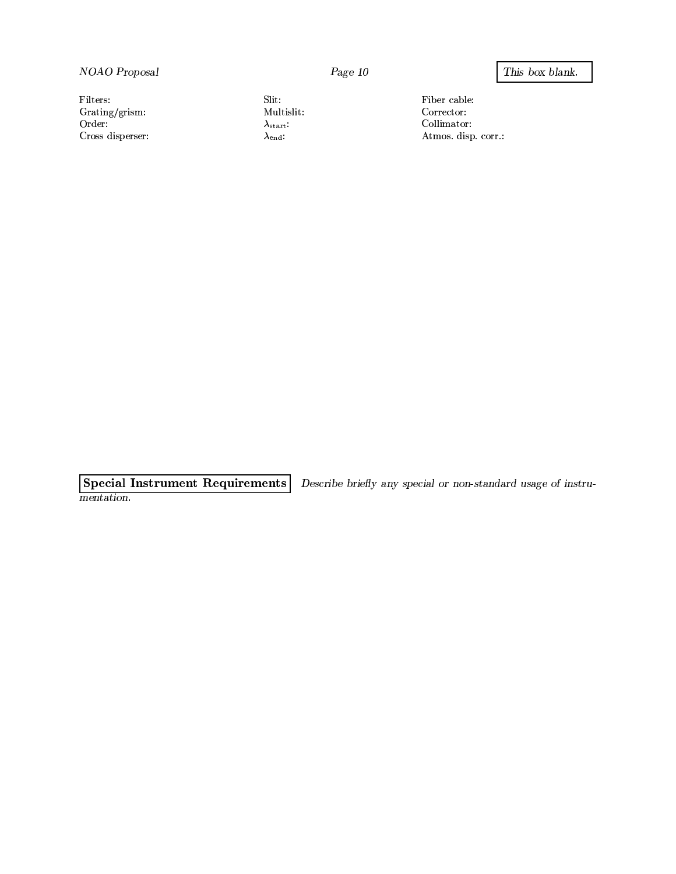NOAO Proposal

Filters:  $Grating/grism$ : Order: Cross disperser: Slit. Multislit:  $\lambda_{\text{start}}$ :  $\lambda_{end}$ :

 ${\rm Fiber}$  cable: Corrector:  $\text{Collimator:}$ Atmos. disp. corr.:

**Special Instrument Requirements** Describe briefly any special or non-standard usage of instrumentation.

#### This box blank.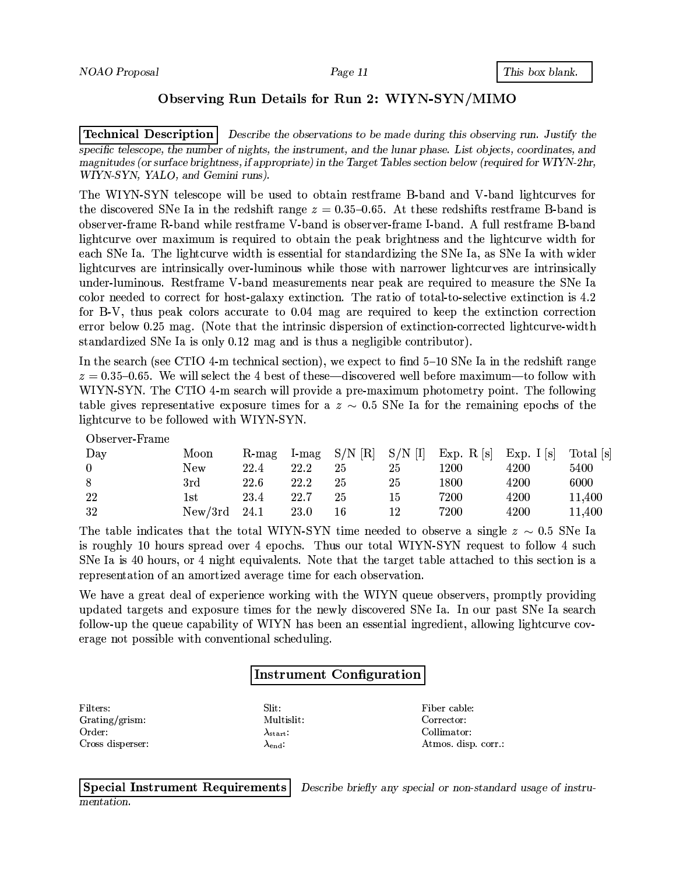### Observing Run Details for Run 2: WIYN-SYN/MIMO

**Technical Description** Describe the observations to be made during this observing run. Justify the specific telescope, the number of nights, the instrument, and the lunar phase. List objects, coordinates, and magnitudes (or surface brightness, if appropriate) in the Target Tables section below (required for WIYN-2hr, WIYN-SYN, YALO, and Gemini runs).

The WIYN-SYN telescope will be used to obtain restframe B-band and V-band lightcurves for the discovered SNe Ia in the redshift range  $z = 0.35{\text -}0.65$ . At these redshifts restframe B-band is observer-frame R-band while restframe V-band is observer-frame I-band. A full restframe B-band lightcurve over maximum is required to obtain the peak brightness and the lightcurve width for each SNe Ia. The lightcurve width is essential for standardizing the SNe Ia, as SNe Ia with wider lightcurves are intrinsically over-luminous while those with narrower lightcurves are intrinsically under-luminous. Restframe V-band measurements near peak are required to measure the SNe Ia color needed to correct for host-galaxy extinction. The ratio of total-to-selective extinction is 4.2 for B-V, thus peak colors accurate to 0.04 mag are required to keep the extinction correction error below 0.25 mag. (Note that the intrinsic dispersion of extinction-corrected lightcurve-width standardized SNe Ia is only 0.12 mag and is thus a negligible contributor).

In the search (see CTIO 4-m technical section), we expect to find  $5-10$  SNe Ia in the redshift range  $z = 0.35-0.65$ . We will select the 4 best of these—discovered well before maximum—to follow with WIYN-SYN. The CTIO 4-m search will provide a pre-maximum photometry point. The following table gives representative exposure times for a  $z \sim 0.5$  SNe Ia for the remaining epochs of the lightcurve to be followed with WIYN-SYN.

Observer-Frame

| Day            | Moon    | $R$ -mag |      |    |    | I-mag $S/N$ [R] $S/N$ [I] Exp. R [s] Exp. I [s] Total [s] |      |        |
|----------------|---------|----------|------|----|----|-----------------------------------------------------------|------|--------|
| $\overline{0}$ | New     | 22.4     | 22.2 | 25 | 25 | l 200                                                     | 4200 | 5400   |
| 8              | 3rd     | 22.6     | 22.2 | 25 | 25 | 1800                                                      | 4200 | 6000   |
| 22             | 1st     | 23.4     | 22.7 | 25 | 15 | 7200                                                      | 4200 | 11,400 |
| 32             | New/3rd | - 24.1   | 23.0 | 16 | 12 | 7200                                                      | 4200 | 11,400 |

The table indicates that the total WIYN-SYN time needed to observe a single  $z \sim 0.5$  SNe Ia is roughly 10 hours spread over 4 epochs. Thus our total WIYN-SYN request to follow 4 such SNe Ia is 40 hours, or 4 night equivalents. Note that the target table attached to this section is a representation of an amortized average time for each observation.

We have a great deal of experience working with the WIYN queue observers, promptly providing updated targets and exposure times for the newly discovered SNe Ia. In our past SNe Ia search follow-up the queue capability of WIYN has been an essential ingredient, allowing lightcurve coverage not possible with conventional scheduling.

### **Instrument Configuration**

Filters: Grating/grism: Order: Cross disperser: Slit: Multislit:  $\lambda_{\text{start}}$  $\lambda_{\rm end}$ :

Fiber cable: Corrector: Collimator: Atmos. disp. corr.:

**Special Instrument Requirements** Describe briefly any special or non-standard usage of instrumentation.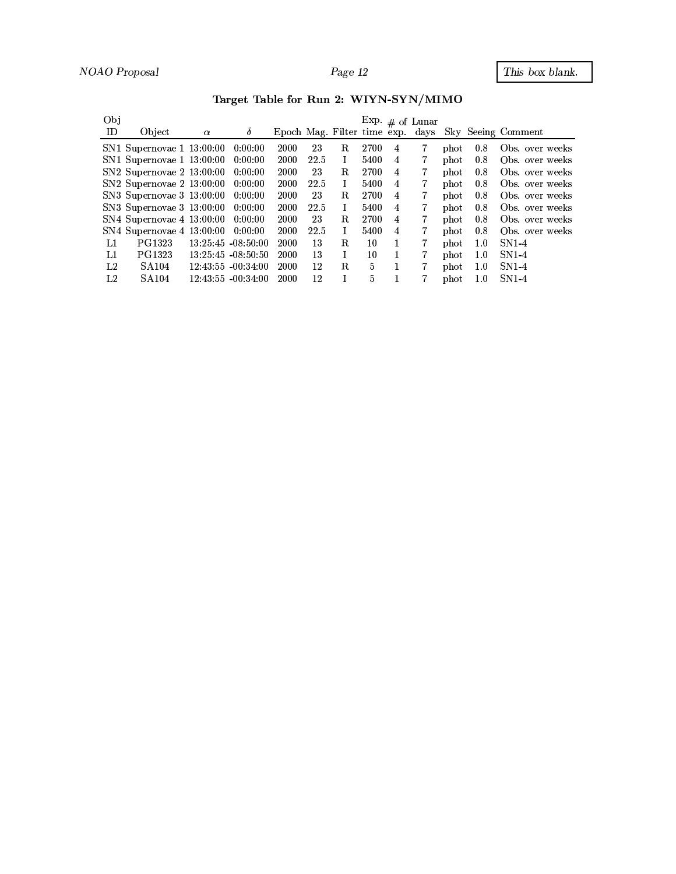| Obj         |                           |          |                       |                                  |      |    |      |                | Exp. $\#$ of Lunar |               |     |                    |
|-------------|---------------------------|----------|-----------------------|----------------------------------|------|----|------|----------------|--------------------|---------------|-----|--------------------|
| ID          | Object                    | $\alpha$ | $\delta$              | Epoch Mag. Filter time exp. days |      |    |      |                |                    |               |     | Sky Seeing Comment |
|             | SN1 Supernovae 1 13:00:00 |          | 0:00:00               | 2000                             | 23   | R. | 2700 | 4              |                    | phot          | 0.8 | Obs. over weeks    |
|             | SN1 Supernovae 1 13:00:00 |          | 0:00:00               | 2000                             | 22.5 | I  | 5400 | 4              |                    | $_{\rm phot}$ | 0.8 | Obs. over weeks    |
|             | SN2 Supernovae 2 13:00:00 |          | 0:00:00               | 2000                             | 23   | R. | 2700 | 4              |                    | $_{\rm phot}$ | 0.8 | Obs. over weeks    |
|             | SN2 Supernovae 2 13:00:00 |          | 0:00:00               | 2000                             | 22.5 | I  | 5400 | $\overline{4}$ |                    | $_{\rm phot}$ | 0.8 | Obs. over weeks    |
|             | SN3 Supernovae 3 13:00:00 |          | 0.00.00               | 2000                             | 23   | R. | 2700 | 4              |                    | $_{\rm phot}$ | 0.8 | Obs. over weeks    |
|             | SN3 Supernovae 3 13:00:00 |          | 0:00:00               | 2000                             | 22.5 | I  | 5400 | 4              | 7                  | $_{\rm phot}$ | 0.8 | Obs. over weeks    |
|             | SN4 Supernovae 4 13:00:00 |          | 0.00:00               | 2000                             | 23   | R. | 2700 | 4              |                    | $_{\rm phot}$ | 0.8 | Obs. over weeks    |
|             | SN4 Supernovae 4 13:00:00 |          | 0.00:00               | 2000                             | 22.5 | I  | 5400 | 4              |                    | $_{\rm phot}$ | 0.8 | Obs. over weeks    |
| L1          | PG1323                    |          | $13:25:45 - 08:50:00$ | 2000                             | 13   | R. | 10   |                | 7                  | phot          | 1.0 | $SN1-4$            |
| L1          | PG1323                    |          | $13:25:45 - 08:50:50$ | 2000                             | 13   | I  | 10   |                |                    | phot          | 1.0 | $SN1-4$            |
| L2          | SA <sub>104</sub>         |          | $12:43:55 - 00:34:00$ | 2000                             | 12   | R. | 5    |                | 7                  | $_{\rm phot}$ | 1.0 | $SN1-4$            |
| $^{\rm L2}$ | SA 104                    |          | $12:43:55 - 00:34:00$ | 2000                             | 12   |    | 5    |                |                    | phot          | 1.0 | SN1-4              |

Target Table for Run 2: WIYN-SYN/MIMO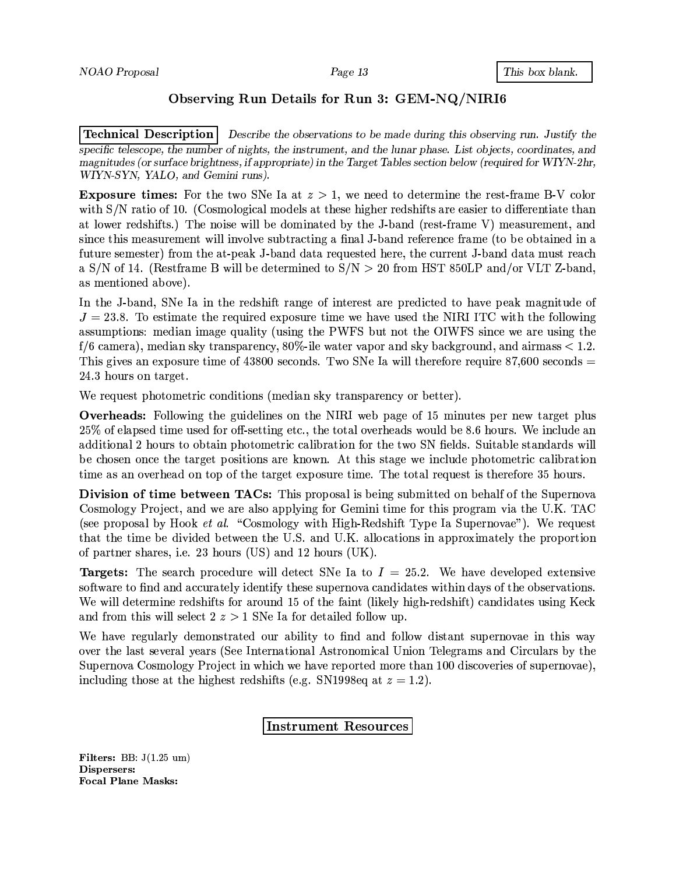### Observing Run Details for Run 3: GEM-NQ/NIRI6

**Technical Description** Describe the observations to be made during this observing run. Justify the specific telescope, the number of nights, the instrument, and the lunar phase. List objects, coordinates, and magnitudes (or surface brightness, if appropriate) in the Target Tables section below (required for WIYN-2hr, WIYN-SYN, YALO, and Gemini runs).

**Exposure times:** For the two SNe Ia at  $z > 1$ , we need to determine the rest-frame B-V color with S/N ratio of 10. (Cosmological models at these higher redshifts are easier to differentiate than at lower redshifts.) The noise will be dominated by the J-band (rest-frame V) measurement, and since this measurement will involve subtracting a final J-band reference frame (to be obtained in a future semester) from the at-peak J-band data requested here, the current J-band data must reach a S/N of 14. (Restframe B will be determined to  $S/N > 20$  from HST 850LP and/or VLT Z-band, as mentioned above).

In the J-band, SNe Ia in the redshift range of interest are predicted to have peak magnitude of  $J = 23.8$ . To estimate the required exposure time we have used the NIRI ITC with the following assumptions: median image quality (using the PWFS but not the OIWFS since we are using the  $f/6$  camera), median sky transparency, 80%-ile water vapor and sky background, and airmass  $< 1.2$ . This gives an exposure time of  $43800$  seconds. Two SNe Ia will therefore require  $87,600$  seconds  $=$ 24.3 hours on target.

We request photometric conditions (median sky transparency or better).

**Overheads:** Following the guidelines on the NIRI web page of 15 minutes per new target plus 25% of elapsed time used for off-setting etc., the total overheads would be 8.6 hours. We include an additional 2 hours to obtain photometric calibration for the two SN fields. Suitable standards will be chosen once the target positions are known. At this stage we include photometric calibration time as an overhead on top of the target exposure time. The total request is therefore 35 hours.

Division of time between TACs: This proposal is being submitted on behalf of the Supernova Cosmology Project, and we are also applying for Gemini time for this program via the U.K. TAC (see proposal by Hook *et al.* "Cosmology with High-Redshift Type Ia Supernovae"). We request that the time be divided between the U.S. and U.K. allocations in approximately the proportion of partner shares, i.e. 23 hours (US) and 12 hours (UK).

**Targets:** The search procedure will detect SNe Ia to  $I = 25.2$ . We have developed extensive software to find and accurately identify these supernova candidates within days of the observations. We will determine redshifts for around 15 of the faint (likely high-redshift) candidates using Keck and from this will select  $2 z > 1$  SNe Ia for detailed follow up.

We have regularly demonstrated our ability to find and follow distant supernovae in this way over the last several years (See International Astronomical Union Telegrams and Circulars by the Supernova Cosmology Project in which we have reported more than 100 discoveries of supernovae), including those at the highest redshifts (e.g. SN1998eq at  $z = 1.2$ ).

Instrument Resources

Filters: BB:  $J(1.25 \text{ um})$ Dispersers: **Focal Plane Masks:**